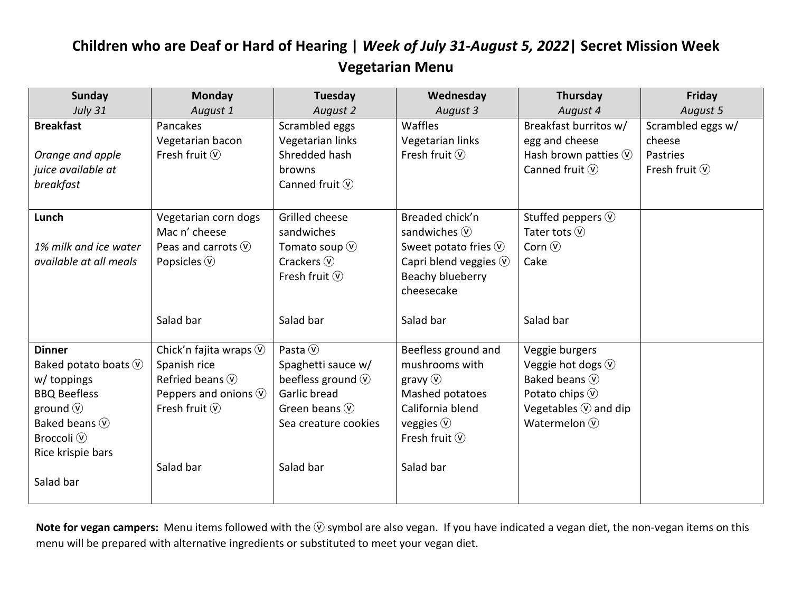## **Children who are Deaf or Hard of Hearing |** *Week of July 31-August 5, 2022***| Secret Mission Week Vegetarian Menu**

| <b>Sunday</b>                     | <b>Monday</b>                     | Tuesday                     | Wednesday                          | Thursday                          | Friday                    |
|-----------------------------------|-----------------------------------|-----------------------------|------------------------------------|-----------------------------------|---------------------------|
| <b>July 31</b>                    | August 1                          | August 2                    | August 3                           | August 4                          | August 5                  |
| <b>Breakfast</b>                  | Pancakes                          | Scrambled eggs              | Waffles                            | Breakfast burritos w/             | Scrambled eggs w/         |
|                                   | Vegetarian bacon                  | Vegetarian links            | Vegetarian links                   | egg and cheese                    | cheese                    |
| Orange and apple                  | Fresh fruit $\circled{v}$         | Shredded hash               | Fresh fruit $\mathcal{V}$          | Hash brown patties $\circledcirc$ | Pastries                  |
| juice available at                |                                   | browns                      |                                    | Canned fruit $\circledcirc$       | Fresh fruit $\circled{v}$ |
| breakfast                         |                                   | Canned fruit $\circledcirc$ |                                    |                                   |                           |
| Lunch                             | Vegetarian corn dogs              | Grilled cheese              | Breaded chick'n                    | Stuffed peppers $\circledcirc$    |                           |
|                                   | Mac n' cheese                     | sandwiches                  | sandwiches $(\hat{v})$             | Tater tots $(\widehat{v})$        |                           |
| 1% milk and ice water             | Peas and carrots $(\hat{v})$      | Tomato soup $\circledV$     | Sweet potato fries $\circledcirc$  | Corn $(\widehat{v})$              |                           |
| available at all meals            | Popsicles $\circledcirc$          | Crackers $\circledR$        | Capri blend veggies $\circledcirc$ | Cake                              |                           |
|                                   |                                   | Fresh fruit $(\hat{v})$     | Beachy blueberry                   |                                   |                           |
|                                   |                                   |                             | cheesecake                         |                                   |                           |
|                                   |                                   |                             |                                    |                                   |                           |
|                                   | Salad bar                         | Salad bar                   | Salad bar                          | Salad bar                         |                           |
|                                   |                                   |                             |                                    |                                   |                           |
| <b>Dinner</b>                     | Chick'n fajita wraps $\circledR$  | Pasta $\circledcirc$        | Beefless ground and                | Veggie burgers                    |                           |
| Baked potato boats $\circledcirc$ | Spanish rice                      | Spaghetti sauce w/          | mushrooms with                     | Veggie hot dogs $\circledcirc$    |                           |
| w/ toppings                       | Refried beans $\circledcirc$      | beefless ground $\odot$     | gravy $\circled{v}$                | Baked beans $(\widehat{v})$       |                           |
| <b>BBQ Beefless</b>               | Peppers and onions $\circledcirc$ | Garlic bread                | Mashed potatoes                    | Potato chips $\circledR$          |                           |
| ground $\circledcirc$             | Fresh fruit $\circled{v}$         | Green beans $\circledcirc$  | California blend                   | Vegetables $\overline{V}$ and dip |                           |
| Baked beans (V)                   |                                   | Sea creature cookies        | veggies $\circledv$                | Watermelon $(\widehat{v})$        |                           |
| Broccoli $\circledR$              |                                   |                             | Fresh fruit $\circled{v}$          |                                   |                           |
| Rice krispie bars                 |                                   |                             |                                    |                                   |                           |
|                                   | Salad bar                         | Salad bar                   | Salad bar                          |                                   |                           |
| Salad bar                         |                                   |                             |                                    |                                   |                           |
|                                   |                                   |                             |                                    |                                   |                           |

Note for vegan campers: Menu items followed with the **V** symbol are also vegan. If you have indicated a vegan diet, the non-vegan items on this menu will be prepared with alternative ingredients or substituted to meet your vegan diet.